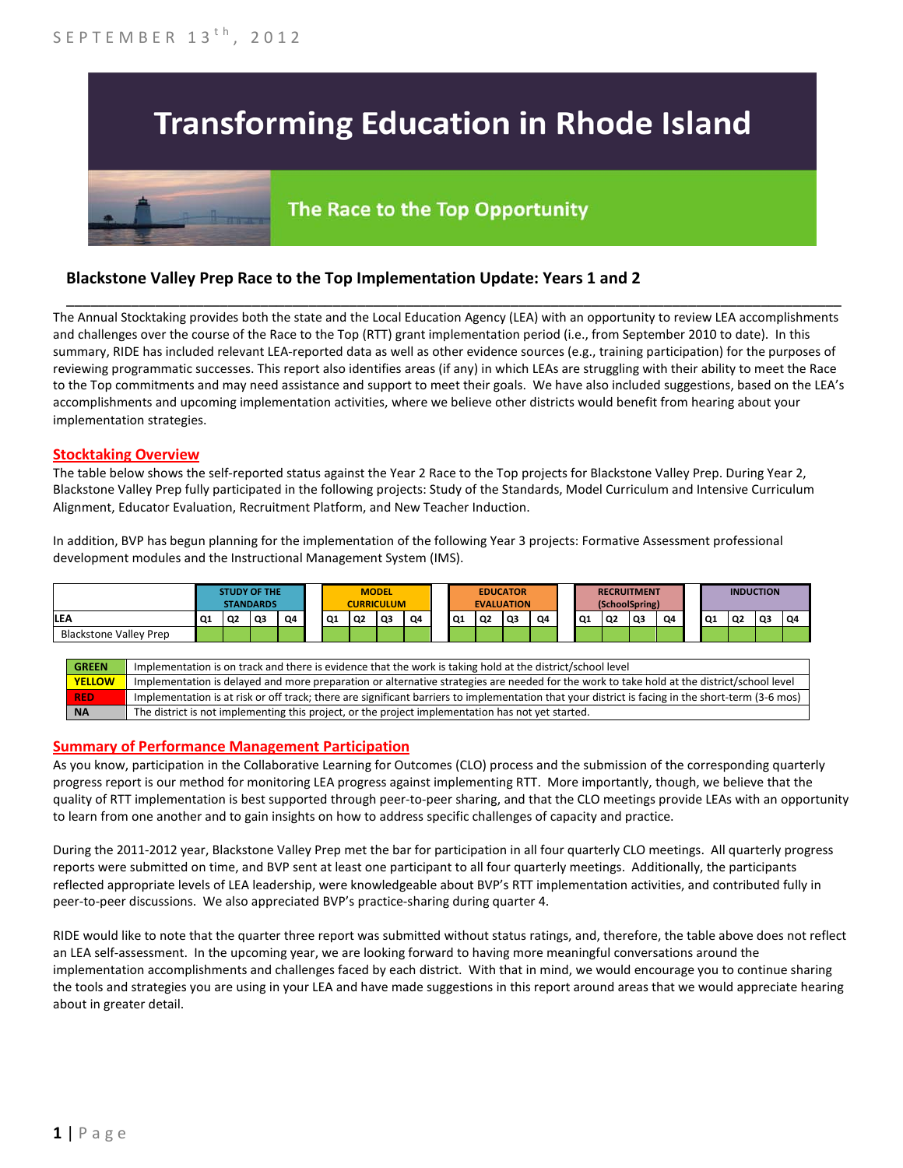# **Transforming Education in Rhode Island**

## The Race to the Top Opportunity

### **Blackstone Valley Prep Race to the Top Implementation Update: Years 1 and 2**

The Annual Stocktaking provides both the state and the Local Education Agency (LEA) with an opportunity to review LEA accomplishments and challenges over the course of the Race to the Top (RTT) grant implementation period (i.e., from September 2010 to date). In this summary, RIDE has included relevant LEA-reported data as well as other evidence sources (e.g., training participation) for the purposes of reviewing programmatic successes. This report also identifies areas (if any) in which LEAs are struggling with their ability to meet the Race to the Top commitments and may need assistance and support to meet their goals. We have also included suggestions, based on the LEA's accomplishments and upcoming implementation activities, where we believe other districts would benefit from hearing about your implementation strategies.

\_\_\_\_\_\_\_\_\_\_\_\_\_\_\_\_\_\_\_\_\_\_\_\_\_\_\_\_\_\_\_\_\_\_\_\_\_\_\_\_\_\_\_\_\_\_\_\_\_\_\_\_\_\_\_\_\_\_\_\_\_\_\_\_\_\_\_\_\_\_\_\_\_\_\_\_\_\_\_\_\_\_\_\_\_\_\_\_\_\_\_\_\_\_\_\_

#### **Stocktaking Overview**

The table below shows the self-reported status against the Year 2 Race to the Top projects for Blackstone Valley Prep. During Year 2, Blackstone Valley Prep fully participated in the following projects: Study of the Standards, Model Curriculum and Intensive Curriculum Alignment, Educator Evaluation, Recruitment Platform, and New Teacher Induction.

In addition, BVP has begun planning for the implementation of the following Year 3 projects: Formative Assessment professional development modules and the Instructional Management System (IMS).



#### **Summary of Performance Management Participation**

As you know, participation in the Collaborative Learning for Outcomes (CLO) process and the submission of the corresponding quarterly progress report is our method for monitoring LEA progress against implementing RTT. More importantly, though, we believe that the quality of RTT implementation is best supported through peer-to-peer sharing, and that the CLO meetings provide LEAs with an opportunity to learn from one another and to gain insights on how to address specific challenges of capacity and practice.

During the 2011-2012 year, Blackstone Valley Prep met the bar for participation in all four quarterly CLO meetings. All quarterly progress reports were submitted on time, and BVP sent at least one participant to all four quarterly meetings. Additionally, the participants reflected appropriate levels of LEA leadership, were knowledgeable about BVP's RTT implementation activities, and contributed fully in peer-to-peer discussions. We also appreciated BVP's practice-sharing during quarter 4.

RIDE would like to note that the quarter three report was submitted without status ratings, and, therefore, the table above does not reflect an LEA self-assessment. In the upcoming year, we are looking forward to having more meaningful conversations around the implementation accomplishments and challenges faced by each district. With that in mind, we would encourage you to continue sharing the tools and strategies you are using in your LEA and have made suggestions in this report around areas that we would appreciate hearing about in greater detail.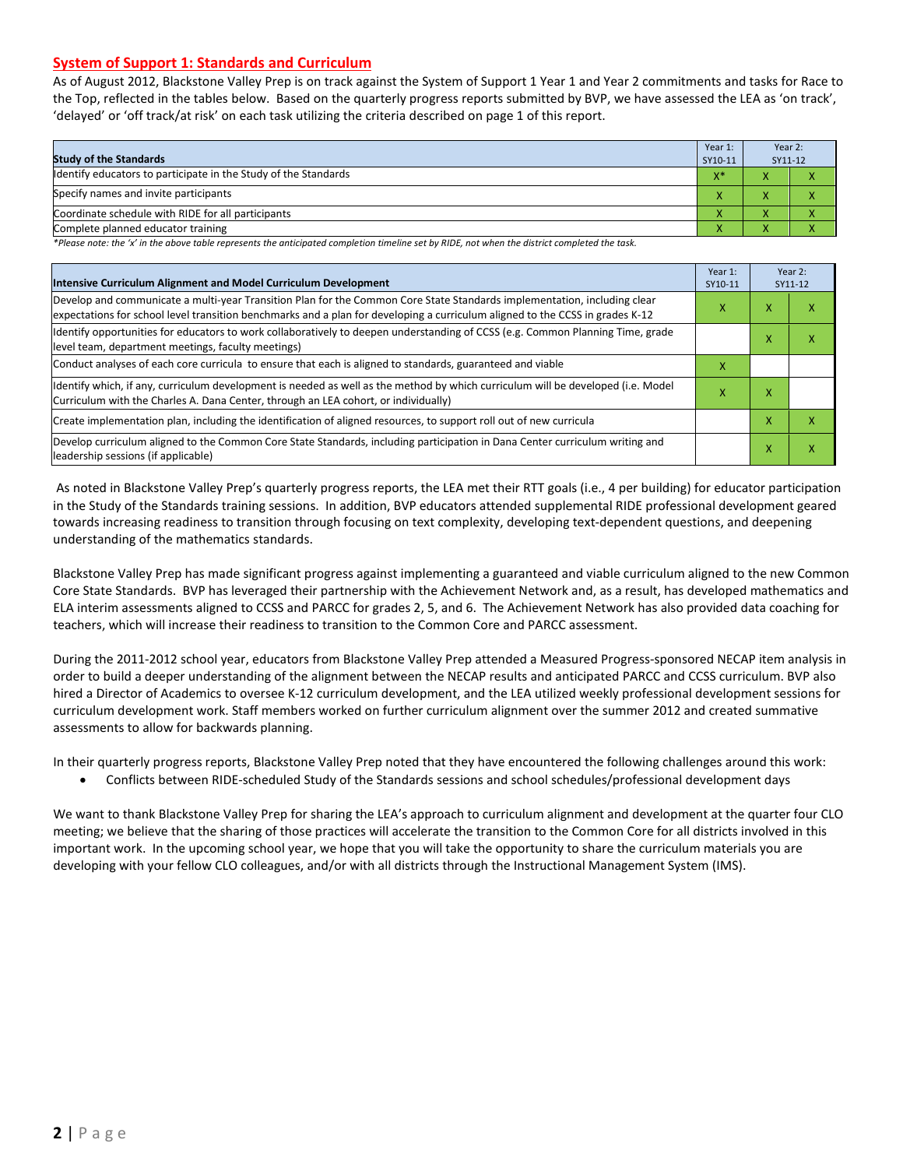#### **System of Support 1: Standards and Curriculum**

As of August 2012, Blackstone Valley Prep is on track against the System of Support 1 Year 1 and Year 2 commitments and tasks for Race to the Top, reflected in the tables below. Based on the quarterly progress reports submitted by BVP, we have assessed the LEA as 'on track', 'delayed' or 'off track/at risk' on each task utilizing the criteria described on page 1 of this report.

| <b>Study of the Standards</b>                                   | Year 1:<br>SY10-11 | Year 2:<br>SY11-12 |  |
|-----------------------------------------------------------------|--------------------|--------------------|--|
| Identify educators to participate in the Study of the Standards | $X^*$              |                    |  |
| Specify names and invite participants                           |                    |                    |  |
| Coordinate schedule with RIDE for all participants              |                    | ∧                  |  |
| Complete planned educator training                              | $\mathbf{\Lambda}$ | ∧                  |  |

*\*Please note: the 'x' in the above table represents the anticipated completion timeline set by RIDE, not when the district completed the task.*

| Intensive Curriculum Alignment and Model Curriculum Development                                                                                                                                                                                           |   |   | Year 2:<br>SY11-12 |  |
|-----------------------------------------------------------------------------------------------------------------------------------------------------------------------------------------------------------------------------------------------------------|---|---|--------------------|--|
| Develop and communicate a multi-year Transition Plan for the Common Core State Standards implementation, including clear<br>expectations for school level transition benchmarks and a plan for developing a curriculum aligned to the CCSS in grades K-12 |   |   | ⋏                  |  |
| Identify opportunities for educators to work collaboratively to deepen understanding of CCSS (e.g. Common Planning Time, grade<br>level team, department meetings, faculty meetings)                                                                      |   | x | x                  |  |
| Conduct analyses of each core curricula to ensure that each is aligned to standards, guaranteed and viable                                                                                                                                                | х |   |                    |  |
| ldentify which, if any, curriculum development is needed as well as the method by which curriculum will be developed (i.e. Model<br>Curriculum with the Charles A. Dana Center, through an LEA cohort, or individually)                                   |   |   |                    |  |
| Create implementation plan, including the identification of aligned resources, to support roll out of new curricula                                                                                                                                       |   | x | x                  |  |
| Develop curriculum aligned to the Common Core State Standards, including participation in Dana Center curriculum writing and<br>leadership sessions (if applicable)                                                                                       |   | X | Χ                  |  |

As noted in Blackstone Valley Prep's quarterly progress reports, the LEA met their RTT goals (i.e., 4 per building) for educator participation in the Study of the Standards training sessions. In addition, BVP educators attended supplemental RIDE professional development geared towards increasing readiness to transition through focusing on text complexity, developing text-dependent questions, and deepening understanding of the mathematics standards.

Blackstone Valley Prep has made significant progress against implementing a guaranteed and viable curriculum aligned to the new Common Core State Standards. BVP has leveraged their partnership with the Achievement Network and, as a result, has developed mathematics and ELA interim assessments aligned to CCSS and PARCC for grades 2, 5, and 6. The Achievement Network has also provided data coaching for teachers, which will increase their readiness to transition to the Common Core and PARCC assessment.

During the 2011-2012 school year, educators from Blackstone Valley Prep attended a Measured Progress-sponsored NECAP item analysis in order to build a deeper understanding of the alignment between the NECAP results and anticipated PARCC and CCSS curriculum. BVP also hired a Director of Academics to oversee K-12 curriculum development, and the LEA utilized weekly professional development sessions for curriculum development work. Staff members worked on further curriculum alignment over the summer 2012 and created summative assessments to allow for backwards planning.

In their quarterly progress reports, Blackstone Valley Prep noted that they have encountered the following challenges around this work:

• Conflicts between RIDE-scheduled Study of the Standards sessions and school schedules/professional development days

We want to thank Blackstone Valley Prep for sharing the LEA's approach to curriculum alignment and development at the quarter four CLO meeting; we believe that the sharing of those practices will accelerate the transition to the Common Core for all districts involved in this important work. In the upcoming school year, we hope that you will take the opportunity to share the curriculum materials you are developing with your fellow CLO colleagues, and/or with all districts through the Instructional Management System (IMS).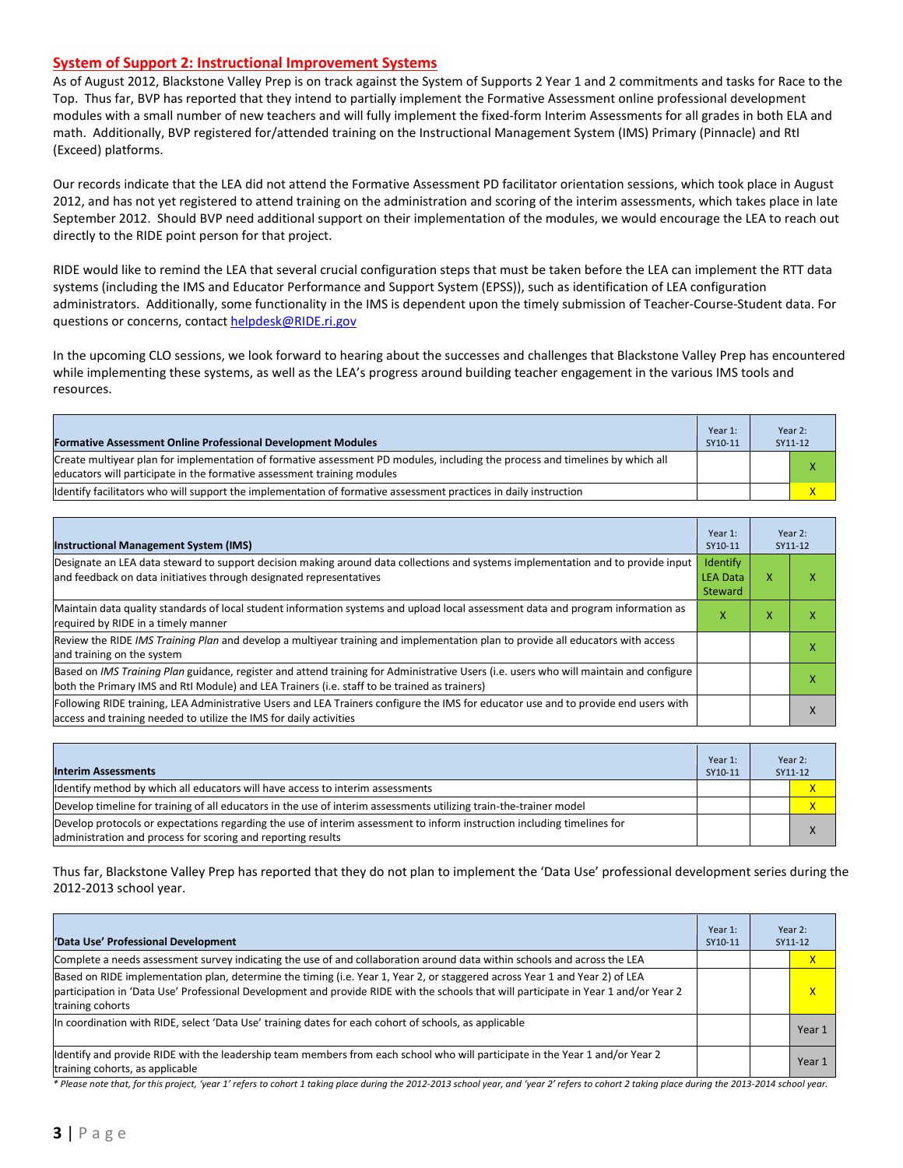#### **System of Support 2: Instructional Improvement Systems**

As of August 2012, Blackstone Valley Prep is on track against the System of Supports 2 Year 1 and 2 commitments and tasks for Race to the Top. Thus far, BVP has reported that they intend to partially implement the Formative Assessment online professional development modules with a small number of new teachers and will fully implement the fixed-form Interim Assessments for all grades in both ELA and math. Additionally, BVP registered for/attended training on the Instructional Management System (IMS) Primary (Pinnacle) and RtI (Exceed) platforms.

Our records indicate that the LEA did not attend the Formative Assessment PD facilitator orientation sessions, which took place in August 2012, and has not yet registered to attend training on the administration and scoring of the interim assessments, which takes place in late September 2012. Should BVP need additional support on their implementation of the modules, we would encourage the LEA to reach out directly to the RIDE point person for that project.

RIDE would like to remind the LEA that several crucial configuration steps that must be taken before the LEA can implement the RTT data systems (including the IMS and Educator Performance and Support System (EPSS)), such as identification of LEA configuration administrators. Additionally, some functionality in the IMS is dependent upon the timely submission of Teacher-Course-Student data. For questions or concerns, contac[t helpdesk@RIDE.ri.gov](mailto:helpdesk@RIDE.ri.gov)

In the upcoming CLO sessions, we look forward to hearing about the successes and challenges that Blackstone Valley Prep has encountered while implementing these systems, as well as the LEA's progress around building teacher engagement in the various IMS tools and resources.

| <b>Formative Assessment Online Professional Development Modules</b>                                                                                                                                      | Year 1:<br>SY10-11 | Year 2:<br>SY11-12 |
|----------------------------------------------------------------------------------------------------------------------------------------------------------------------------------------------------------|--------------------|--------------------|
| Create multivear plan for implementation of formative assessment PD modules, including the process and timelines by which all<br>educators will participate in the formative assessment training modules |                    |                    |
| Ildentify facilitators who will support the implementation of formative assessment practices in daily instruction                                                                                        |                    |                    |

| <b>Instructional Management System (IMS)</b>                                                                                                                                                                                           | Year 1:<br>SY10-11                            |   | Year 2:<br>SY11-12 |
|----------------------------------------------------------------------------------------------------------------------------------------------------------------------------------------------------------------------------------------|-----------------------------------------------|---|--------------------|
| Designate an LEA data steward to support decision making around data collections and systems implementation and to provide input<br>and feedback on data initiatives through designated representatives                                | Identify<br><b>LEA Data</b><br><b>Steward</b> | x |                    |
| Maintain data quality standards of local student information systems and upload local assessment data and program information as<br>required by RIDE in a timely manner                                                                | x                                             | x | x                  |
| Review the RIDE IMS Training Plan and develop a multivear training and implementation plan to provide all educators with access<br>and training on the system                                                                          |                                               |   |                    |
| Based on IMS Training Plan guidance, register and attend training for Administrative Users (i.e. users who will maintain and configure<br>both the Primary IMS and RtI Module) and LEA Trainers (i.e. staff to be trained as trainers) |                                               |   |                    |
| Following RIDE training, LEA Administrative Users and LEA Trainers configure the IMS for educator use and to provide end users with<br>access and training needed to utilize the IMS for daily activities                              |                                               |   |                    |

| <b>Interim Assessments</b>                                                                                              | Year 1:<br>SY10-11 | Year 2:<br>SY11-12 |
|-------------------------------------------------------------------------------------------------------------------------|--------------------|--------------------|
| Identify method by which all educators will have access to interim assessments                                          |                    |                    |
| Develop timeline for training of all educators in the use of interim assessments utilizing train-the-trainer model      |                    | X                  |
| Develop protocols or expectations regarding the use of interim assessment to inform instruction including timelines for |                    | $\mathbf v$        |
| administration and process for scoring and reporting results                                                            |                    |                    |

Thus far, Blackstone Valley Prep has reported that they do not plan to implement the 'Data Use' professional development series during the 2012-2013 school year.

| 'Data Use' Professional Development                                                                                                                                                                                                                                                     | Year 1:<br>SY10-11 | Year 2:<br>SY11-12 |
|-----------------------------------------------------------------------------------------------------------------------------------------------------------------------------------------------------------------------------------------------------------------------------------------|--------------------|--------------------|
| Complete a needs assessment survey indicating the use of and collaboration around data within schools and across the LEA                                                                                                                                                                |                    | X                  |
| Based on RIDE implementation plan, determine the timing (i.e. Year 1, Year 2, or staggered across Year 1 and Year 2) of LEA<br>participation in 'Data Use' Professional Development and provide RIDE with the schools that will participate in Year 1 and/or Year 2<br>training cohorts |                    | X                  |
| In coordination with RIDE, select 'Data Use' training dates for each cohort of schools, as applicable                                                                                                                                                                                   |                    | Year 1             |
| Identify and provide RIDE with the leadership team members from each school who will participate in the Year 1 and/or Year 2<br>training cohorts, as applicable                                                                                                                         |                    | Year 1             |

*\* Please note that, for this project, 'year 1' refers to cohort 1 taking place during the 2012-2013 school year, and 'year 2' refers to cohort 2 taking place during the 2013-2014 school year.*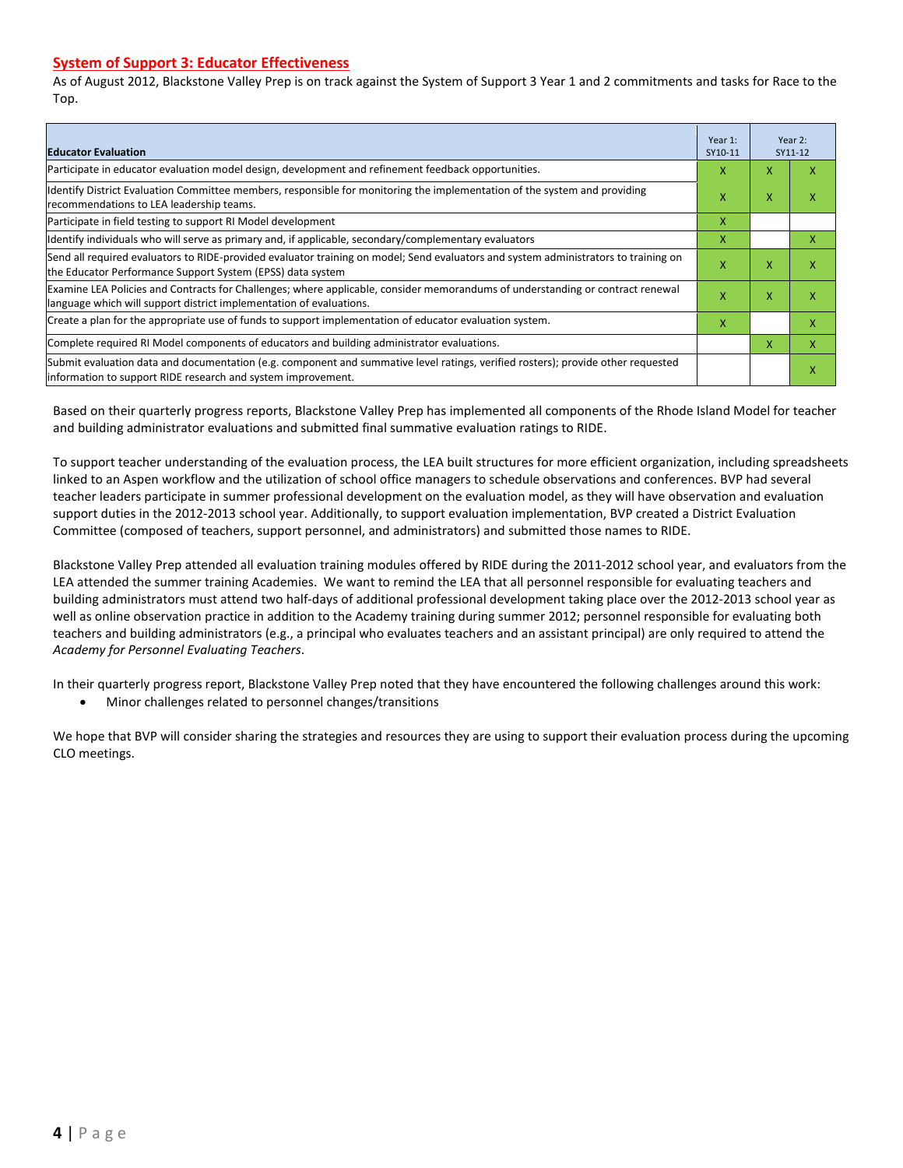#### **System of Support 3: Educator Effectiveness**

As of August 2012, Blackstone Valley Prep is on track against the System of Support 3 Year 1 and 2 commitments and tasks for Race to the Top.

| <b>Educator Evaluation</b>                                                                                                                                                                            |   |   | Year 2:<br>SY11-12 |
|-------------------------------------------------------------------------------------------------------------------------------------------------------------------------------------------------------|---|---|--------------------|
| Participate in educator evaluation model design, development and refinement feedback opportunities.                                                                                                   | x | x |                    |
| Identify District Evaluation Committee members, responsible for monitoring the implementation of the system and providing<br>recommendations to LEA leadership teams.                                 | x | X | х                  |
| Participate in field testing to support RI Model development                                                                                                                                          | x |   |                    |
| ldentify individuals who will serve as primary and, if applicable, secondary/complementary evaluators                                                                                                 | x |   | x                  |
| Send all required evaluators to RIDE-provided evaluator training on model; Send evaluators and system administrators to training on<br>the Educator Performance Support System (EPSS) data system     | x | X | x                  |
| Examine LEA Policies and Contracts for Challenges; where applicable, consider memorandums of understanding or contract renewal<br>language which will support district implementation of evaluations. |   | X | x                  |
| Create a plan for the appropriate use of funds to support implementation of educator evaluation system.                                                                                               |   |   | л                  |
| Complete required RI Model components of educators and building administrator evaluations.                                                                                                            |   |   | x                  |
| Submit evaluation data and documentation (e.g. component and summative level ratings, verified rosters); provide other requested<br>information to support RIDE research and system improvement.      |   |   | x                  |

Based on their quarterly progress reports, Blackstone Valley Prep has implemented all components of the Rhode Island Model for teacher and building administrator evaluations and submitted final summative evaluation ratings to RIDE.

To support teacher understanding of the evaluation process, the LEA built structures for more efficient organization, including spreadsheets linked to an Aspen workflow and the utilization of school office managers to schedule observations and conferences. BVP had several teacher leaders participate in summer professional development on the evaluation model, as they will have observation and evaluation support duties in the 2012-2013 school year. Additionally, to support evaluation implementation, BVP created a District Evaluation Committee (composed of teachers, support personnel, and administrators) and submitted those names to RIDE.

Blackstone Valley Prep attended all evaluation training modules offered by RIDE during the 2011-2012 school year, and evaluators from the LEA attended the summer training Academies. We want to remind the LEA that all personnel responsible for evaluating teachers and building administrators must attend two half-days of additional professional development taking place over the 2012-2013 school year as well as online observation practice in addition to the Academy training during summer 2012; personnel responsible for evaluating both teachers and building administrators (e.g., a principal who evaluates teachers and an assistant principal) are only required to attend the *Academy for Personnel Evaluating Teachers*.

In their quarterly progress report, Blackstone Valley Prep noted that they have encountered the following challenges around this work:

• Minor challenges related to personnel changes/transitions

We hope that BVP will consider sharing the strategies and resources they are using to support their evaluation process during the upcoming CLO meetings.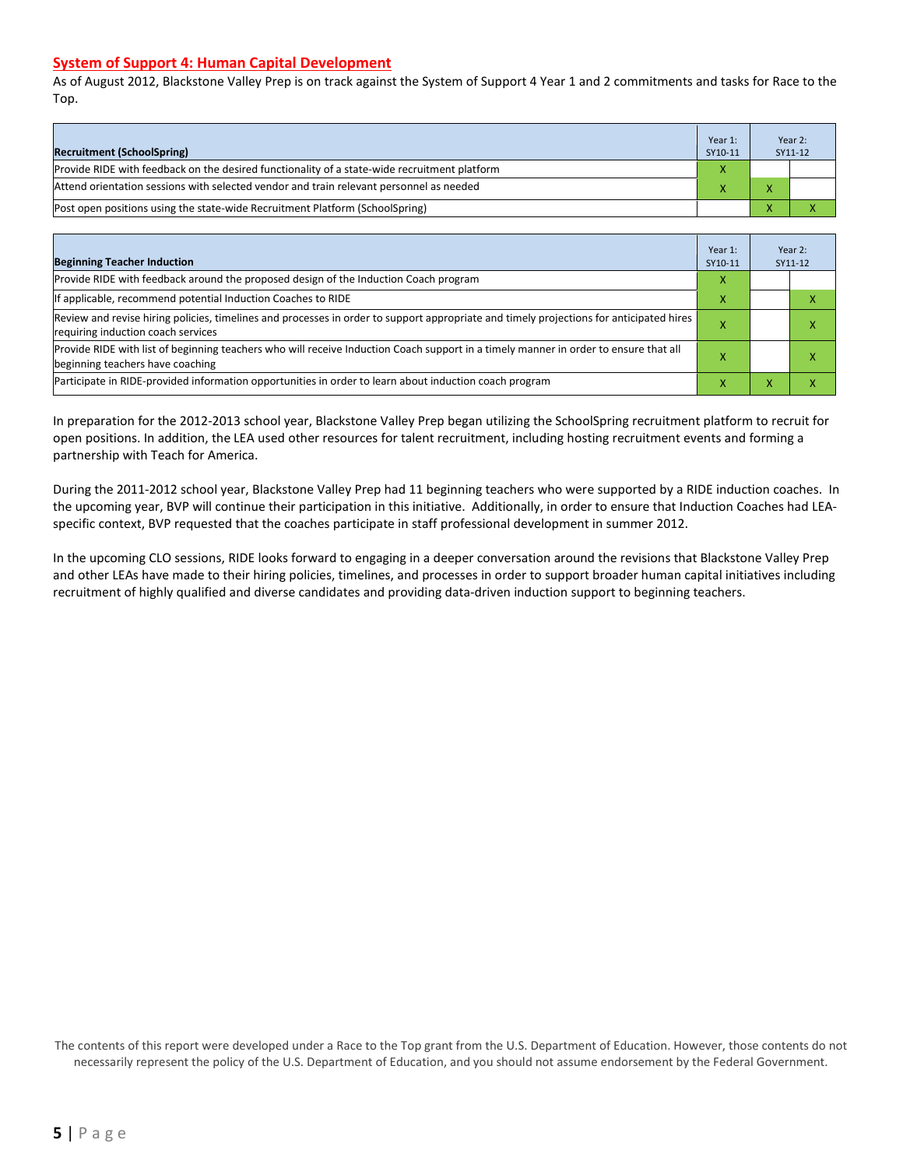#### **System of Support 4: Human Capital Development**

As of August 2012, Blackstone Valley Prep is on track against the System of Support 4 Year 1 and 2 commitments and tasks for Race to the Top.

| <b>Recruitment (SchoolSpring)</b>                                                            | Year 1:<br>SY10-11 |                          | Year 2:<br>SY11-12 |
|----------------------------------------------------------------------------------------------|--------------------|--------------------------|--------------------|
| Provide RIDE with feedback on the desired functionality of a state-wide recruitment platform | $\mathbf v$        |                          |                    |
| Attend orientation sessions with selected vendor and train relevant personnel as needed      |                    | $\overline{ }$           |                    |
| (Post open positions using the state-wide Recruitment Platform (SchoolSpring)                |                    | $\overline{\phantom{a}}$ |                    |

| <b>Beginning Teacher Induction</b>                                                                                                                                            | Year 1:<br>SY10-11 |   | Year 2:<br>SY11-12 |
|-------------------------------------------------------------------------------------------------------------------------------------------------------------------------------|--------------------|---|--------------------|
| Provide RIDE with feedback around the proposed design of the Induction Coach program                                                                                          |                    |   |                    |
| If applicable, recommend potential Induction Coaches to RIDE                                                                                                                  | x                  |   |                    |
| Review and revise hiring policies, timelines and processes in order to support appropriate and timely projections for anticipated hires<br>requiring induction coach services |                    |   | ⋏                  |
| Provide RIDE with list of beginning teachers who will receive Induction Coach support in a timely manner in order to ensure that all<br>beginning teachers have coaching      |                    |   |                    |
| Participate in RIDE-provided information opportunities in order to learn about induction coach program                                                                        | ж                  | ж |                    |

In preparation for the 2012-2013 school year, Blackstone Valley Prep began utilizing the SchoolSpring recruitment platform to recruit for open positions. In addition, the LEA used other resources for talent recruitment, including hosting recruitment events and forming a partnership with Teach for America.

During the 2011-2012 school year, Blackstone Valley Prep had 11 beginning teachers who were supported by a RIDE induction coaches. In the upcoming year, BVP will continue their participation in this initiative. Additionally, in order to ensure that Induction Coaches had LEAspecific context, BVP requested that the coaches participate in staff professional development in summer 2012.

In the upcoming CLO sessions, RIDE looks forward to engaging in a deeper conversation around the revisions that Blackstone Valley Prep and other LEAs have made to their hiring policies, timelines, and processes in order to support broader human capital initiatives including recruitment of highly qualified and diverse candidates and providing data-driven induction support to beginning teachers.

The contents of this report were developed under a Race to the Top grant from the U.S. Department of Education. However, those contents do not necessarily represent the policy of the U.S. Department of Education, and you should not assume endorsement by the Federal Government.